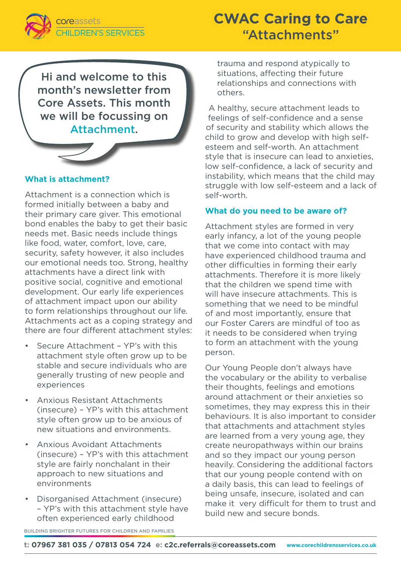

# **CWAC Caring to Care** "Attachments"

Hi and welcome to this month's newsletter from Core Assets. This month we will be focussing on Attachment.



## **What is attachment?**

Attachment is a connection which is formed initially between a baby and their primary care giver. This emotional bond enables the baby to get their basic needs met. Basic needs include things like food, water, comfort, love, care, security, safety however, it also includes our emotional needs too. Strong, healthy attachments have a direct link with positive social, cognitive and emotional development. Our early life experiences of attachment impact upon our ability to form relationships throughout our life. Attachments act as a coping strategy and there are four different attachment styles:

- Secure Attachment YP's with this attachment style often grow up to be stable and secure individuals who are generally trusting of new people and experiences
- Anxious Resistant Attachments (insecure) – YP's with this attachment style often grow up to be anxious of new situations and environments.
- Anxious Avoidant Attachments (insecure) – YP's with this attachment style are fairly nonchalant in their approach to new situations and environments
- Disorganised Attachment (insecure) – YP's with this attachment style have often experienced early childhood

trauma and respond atypically to situations, affecting their future relationships and connections with others.

A healthy, secure attachment leads to feelings of self-confidence and a sense of security and stability which allows the child to grow and develop with high selfesteem and self-worth. An attachment style that is insecure can lead to anxieties, low self-confidence, a lack of security and instability, which means that the child may struggle with low self-esteem and a lack of self-worth.

#### **What do you need to be aware of?**

Attachment styles are formed in very early infancy, a lot of the young people that we come into contact with may have experienced childhood trauma and other difficulties in forming their early attachments. Therefore it is more likely that the children we spend time with will have insecure attachments. This is something that we need to be mindful of and most importantly, ensure that our Foster Carers are mindful of too as it needs to be considered when trying to form an attachment with the young person.

Our Young People don't always have the vocabulary or the ability to verbalise their thoughts, feelings and emotions around attachment or their anxieties so sometimes, they may express this in their behaviours. It is also important to consider that attachments and attachment styles are learned from a very young age, they create neuropathways within our brains and so they impact our young person heavily. Considering the additional factors that our young people contend with on a daily basis, this can lead to feelings of being unsafe, insecure, isolated and can make it very difficult for them to trust and build new and secure bonds.

BUILDING BRIGHTER FUTURES FOR CHILDREN AND FAMILIES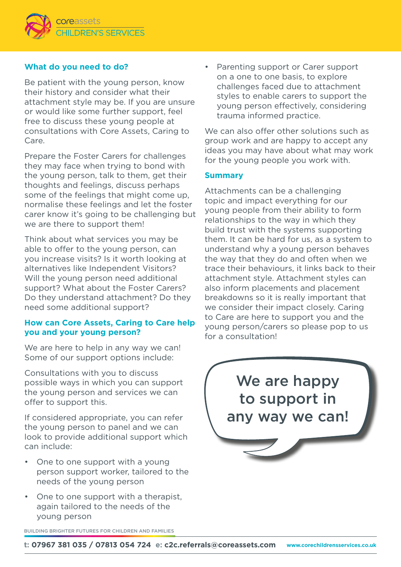

## **What do you need to do?**

Be patient with the young person, know their history and consider what their attachment style may be. If you are unsure or would like some further support, feel free to discuss these young people at consultations with Core Assets, Caring to Care.

Prepare the Foster Carers for challenges they may face when trying to bond with the young person, talk to them, get their thoughts and feelings, discuss perhaps some of the feelings that might come up, normalise these feelings and let the foster carer know it's going to be challenging but we are there to support them!

Think about what services you may be able to offer to the young person, can you increase visits? Is it worth looking at alternatives like Independent Visitors? Will the young person need additional support? What about the Foster Carers? Do they understand attachment? Do they need some additional support?

## **How can Core Assets, Caring to Care help you and your young person?**

We are here to help in any way we can! Some of our support options include:

Consultations with you to discuss possible ways in which you can support the young person and services we can offer to support this.

If considered appropriate, you can refer the young person to panel and we can look to provide additional support which can include:

- One to one support with a young person support worker, tailored to the needs of the young person
- One to one support with a therapist, again tailored to the needs of the young person

Parenting support or Carer support on a one to one basis, to explore challenges faced due to attachment styles to enable carers to support the young person effectively, considering trauma informed practice.

We can also offer other solutions such as group work and are happy to accept any ideas you may have about what may work for the young people you work with.

#### **Summary**

Attachments can be a challenging topic and impact everything for our young people from their ability to form relationships to the way in which they build trust with the systems supporting them. It can be hard for us, as a system to understand why a young person behaves the way that they do and often when we trace their behaviours, it links back to their attachment style. Attachment styles can also inform placements and placement breakdowns so it is really important that we consider their impact closely. Caring to Care are here to support you and the young person/carers so please pop to us for a consultation!

> We are happy to support in any way we can!

BUILDING BRIGHTER FUTURES FOR CHILDREN AND FAMILIES